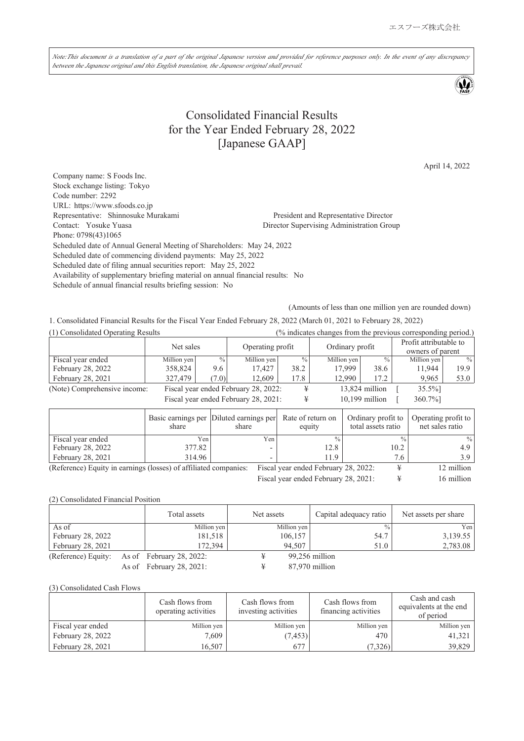Note:This document is a translation of a part of the original Japanese version and provided for reference purposes only. In the event of any discrepancy *between the Japanese original and this English translation, the Japanese original shall prevail.*

## Consolidated Financial Results for the Year Ended February 28, 2022 [Japanese GAAP]

April 14, 2022

Company name: S Foods Inc. Stock exchange listing: Tokyo Code number: 2292 URL: https://www.sfoods.co.jp Representative: Shinnosuke Murakami President and Representative Director Contact: Yosuke Yuasa Director Supervising Administration Group Phone: 0798(43)1065 Scheduled date of Annual General Meeting of Shareholders: May 24, 2022 Scheduled date of commencing dividend payments: May 25, 2022 Scheduled date of filing annual securities report: May 25, 2022 Availability of supplementary briefing material on annual financial results: No Schedule of annual financial results briefing session: No

(Amounts of less than one million yen are rounded down)

1. Consolidated Financial Results for the Fiscal Year Ended February 28, 2022 (March 01, 2021 to February 28, 2022)

| (1) Consolidated Operating Results                                   |             | (% indicates changes from the previous corresponding period.) |                  |               |                 |                  |                                            |               |
|----------------------------------------------------------------------|-------------|---------------------------------------------------------------|------------------|---------------|-----------------|------------------|--------------------------------------------|---------------|
|                                                                      | Net sales   |                                                               | Operating profit |               | Ordinary profit |                  | Profit attributable to<br>owners of parent |               |
| Fiscal year ended                                                    | Million yen | $\%$                                                          | Million yen      | $\frac{0}{0}$ | Million yen     | $\frac{0}{0}$    | Million yen                                | $\frac{0}{0}$ |
| February 28, 2022                                                    | 358,824     | 9.6                                                           | 17.427           | 38.2          | 17.999          | 38.6             | 11,944                                     | 19.9          |
| February 28, 2021                                                    | 327,479     | (7.0)                                                         | 12,609           | 17.8          | 12.990          | 17.2             | 9,965                                      | 53.0          |
| (Note) Comprehensive income:<br>Fiscal year ended February 28, 2022: |             |                                                               |                  |               |                 | 13,824 million   | 35.5%]                                     |               |
| Fiscal year ended February 28, 2021:                                 |             |                                                               |                  |               |                 | $10,199$ million | 360.7%]                                    |               |

|                                                                  | share  | Basic earnings per Diluted earnings per<br>share | Rate of return on<br>equity          | Ordinary profit to<br>total assets ratio | Operating profit to<br>net sales ratio |
|------------------------------------------------------------------|--------|--------------------------------------------------|--------------------------------------|------------------------------------------|----------------------------------------|
| Fiscal year ended                                                | Yen    | Yen                                              |                                      | $\frac{0}{0}$                            | $\frac{0}{0}$                          |
| <b>February 28, 2022</b>                                         | 377.82 |                                                  | 12.8                                 | 10.2                                     | 4.9                                    |
| February 28, 2021                                                | 314.96 |                                                  | 11.9                                 | 7.6                                      | 3.9 <sup>°</sup>                       |
| (Reference) Equity in earnings (losses) of affiliated companies: |        |                                                  | Fiscal year ended February 28, 2022: |                                          | 12 million                             |

Fiscal year ended February 28, 2021:  $\qquad \qquad \text{\#} \qquad \qquad 16 \text{ million}$ 

(2) Consolidated Financial Position

|                     | Total assets             | Net assets  | Capital adequacy ratio | Net assets per share |
|---------------------|--------------------------|-------------|------------------------|----------------------|
| As of               | Million yen              | Million yen | $\frac{0}{0}$          | Yen                  |
| February 28, 2022   | 181,518                  | 106,157     | 54.7                   | 3,139.55             |
| February 28, 2021   | 172,394                  | 94,507      | 51.0                   | 2,783.08             |
| (Reference) Equity: | As of February 28, 2022: |             | 99,256 million         |                      |
|                     | As of February 28, 2021: |             | 87,970 million         |                      |

(3) Consolidated Cash Flows

|                   | Cash flows from<br>operating activities | Cash flows from<br>investing activities | Cash flows from<br>financing activities | Cash and cash<br>equivalents at the end<br>of period |
|-------------------|-----------------------------------------|-----------------------------------------|-----------------------------------------|------------------------------------------------------|
| Fiscal year ended | Million yen                             | Million yen                             | Million yen                             | Million yen                                          |
| February 28, 2022 | 7,609                                   | (7, 453)                                | 470                                     | 41,321                                               |
| February 28, 2021 | 16,507                                  | 677                                     | (7,326)                                 | 39,829                                               |